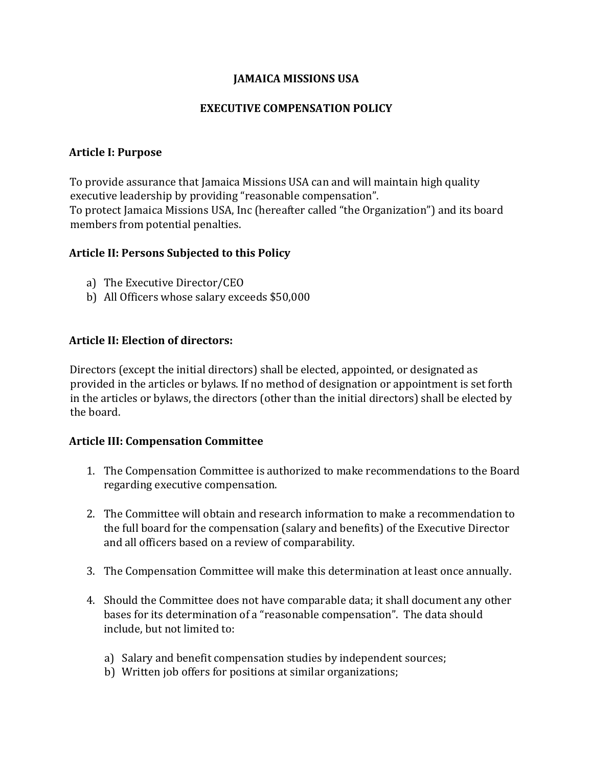### **JAMAICA MISSIONS USA**

#### **EXECUTIVE COMPENSATION POLICY**

#### **Article I: Purpose**

To provide assurance that Jamaica Missions USA can and will maintain high quality executive leadership by providing "reasonable compensation". To protect Jamaica Missions USA, Inc (hereafter called "the Organization") and its board members from potential penalties.

## **Article II: Persons Subjected to this Policy**

- a) The Executive Director/CEO
- b) All Officers whose salary exceeds \$50,000

#### **Article II: Election of directors:**

Directors (except the initial directors) shall be elected, appointed, or designated as provided in the articles or bylaws. If no method of designation or appointment is set forth in the articles or bylaws, the directors (other than the initial directors) shall be elected by the board.

#### **Article III: Compensation Committee**

- 1. The Compensation Committee is authorized to make recommendations to the Board regarding executive compensation.
- 2. The Committee will obtain and research information to make a recommendation to the full board for the compensation (salary and benefits) of the Executive Director and all officers based on a review of comparability.
- 3. The Compensation Committee will make this determination at least once annually.
- 4. Should the Committee does not have comparable data; it shall document any other bases for its determination of a "reasonable compensation". The data should include, but not limited to:
	- a) Salary and benefit compensation studies by independent sources;
	- b) Written job offers for positions at similar organizations;